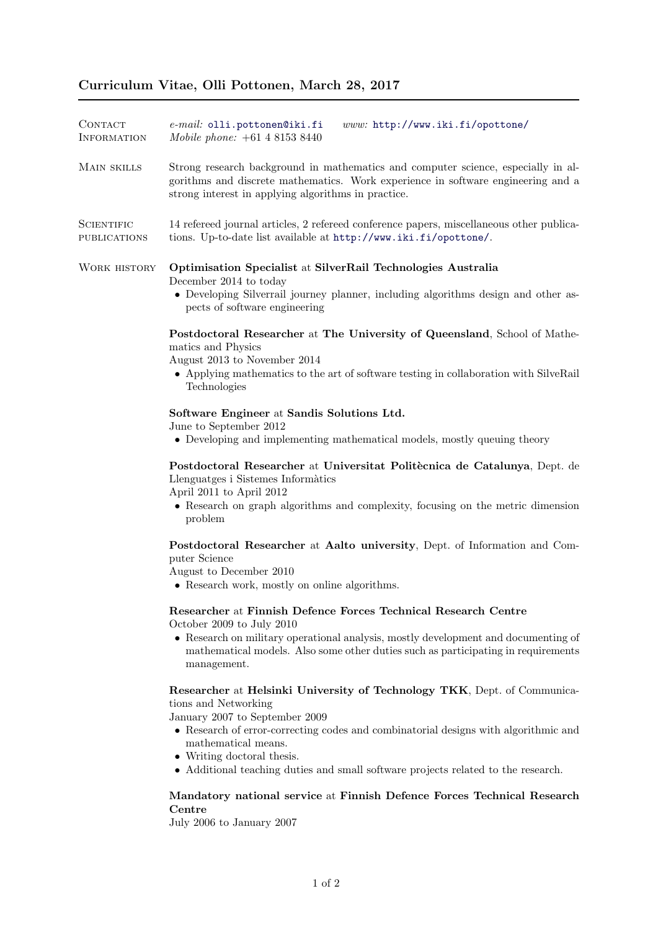| CONTACT<br><b>INFORMATION</b>     | www: http://www.iki.fi/opottone/<br>$e$ -mail: olli.pottonen@iki.fi<br>Mobile phone: +61 4 8153 8440                                                                                                                                                                                                                                                                |
|-----------------------------------|---------------------------------------------------------------------------------------------------------------------------------------------------------------------------------------------------------------------------------------------------------------------------------------------------------------------------------------------------------------------|
| MAIN SKILLS                       | Strong research background in mathematics and computer science, especially in al-<br>gorithms and discrete mathematics. Work experience in software engineering and a<br>strong interest in applying algorithms in practice.                                                                                                                                        |
| <b>SCIENTIFIC</b><br>PUBLICATIONS | 14 refereed journal articles, 2 refereed conference papers, miscellaneous other publica-<br>tions. Up-to-date list available at http://www.iki.fi/opottone/.                                                                                                                                                                                                        |
| WORK HISTORY                      | Optimisation Specialist at SilverRail Technologies Australia<br>December 2014 to today<br>• Developing Silverrail journey planner, including algorithms design and other as-<br>pects of software engineering                                                                                                                                                       |
|                                   | Postdoctoral Researcher at The University of Queensland, School of Mathe-<br>matics and Physics<br>August 2013 to November 2014<br>• Applying mathematics to the art of software testing in collaboration with SilveRail<br>Technologies                                                                                                                            |
|                                   | Software Engineer at Sandis Solutions Ltd.<br>June to September 2012<br>• Developing and implementing mathematical models, mostly queuing theory                                                                                                                                                                                                                    |
|                                   | Postdoctoral Researcher at Universitat Politècnica de Catalunya, Dept. de<br>Llenguatges i Sistemes Informàtics<br>April 2011 to April 2012<br>• Research on graph algorithms and complexity, focusing on the metric dimension<br>problem                                                                                                                           |
|                                   | Postdoctoral Researcher at Aalto university, Dept. of Information and Com-<br>puter Science<br>August to December 2010<br>• Research work, mostly on online algorithms.                                                                                                                                                                                             |
|                                   | Researcher at Finnish Defence Forces Technical Research Centre<br>October 2009 to July 2010<br>• Research on military operational analysis, mostly development and documenting of<br>mathematical models. Also some other duties such as participating in requirements<br>management.                                                                               |
|                                   | Researcher at Helsinki University of Technology TKK, Dept. of Communica-<br>tions and Networking<br>January 2007 to September 2009<br>• Research of error-correcting codes and combinatorial designs with algorithmic and<br>mathematical means.<br>• Writing doctoral thesis.<br>• Additional teaching duties and small software projects related to the research. |
|                                   | Mandatory national service at Finnish Defence Forces Technical Research<br>Centre<br>July 2006 to January 2007                                                                                                                                                                                                                                                      |